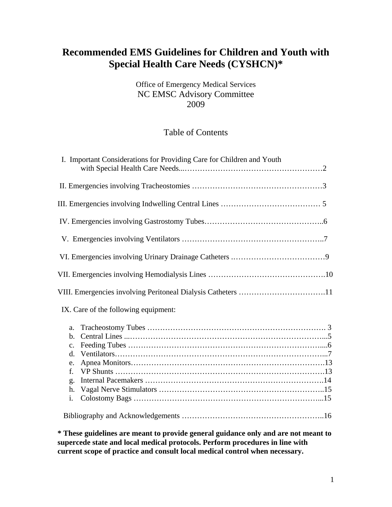# **Recommended EMS Guidelines for Children and Youth with Special Health Care Needs (CYSHCN)\***

## Office of Emergency Medical Services NC EMSC Advisory Committee 2009

## Table of Contents

| I. Important Considerations for Providing Care for Children and Youth |
|-----------------------------------------------------------------------|
|                                                                       |
|                                                                       |
|                                                                       |
|                                                                       |
|                                                                       |
|                                                                       |
|                                                                       |
| IX. Care of the following equipment:                                  |
| a.                                                                    |
| $\mathbf{b}$ .                                                        |
| $\mathbf{c}$ .                                                        |
| $\mathbf{d}$ .                                                        |
| e.                                                                    |
| f.                                                                    |
| g.                                                                    |
| h.                                                                    |
| i.                                                                    |
|                                                                       |

**\* These guidelines are meant to provide general guidance only and are not meant to supercede state and local medical protocols. Perform procedures in line with current scope of practice and consult local medical control when necessary.**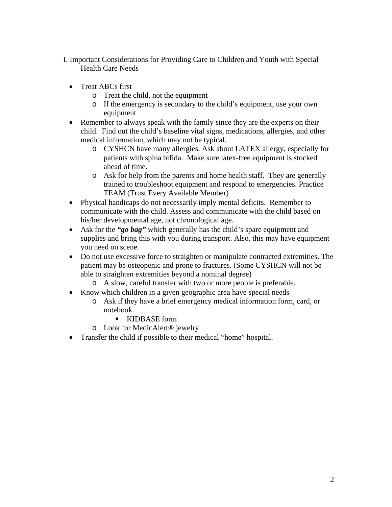- I. Important Considerations for Providing Care to Children and Youth with Special Health Care Needs
	- Treat ABCs first
		- o Treat the child, not the equipment
		- o If the emergency is secondary to the child's equipment, use your own equipment
	- Remember to always speak with the family since they are the experts on their child. Find out the child's baseline vital signs, medications, allergies, and other medical information, which may not be typical.
		- o CYSHCN have many allergies. Ask about LATEX allergy, especially for patients with spina bifida. Make sure latex-free equipment is stocked ahead of time.
		- o Ask for help from the parents and home health staff. They are generally trained to troubleshoot equipment and respond to emergencies. Practice TEAM (Trust Every Available Member)
	- Physical handicaps do not necessarily imply mental deficits. Remember to communicate with the child. Assess and communicate with the child based on his/her developmental age, not chronological age.
	- Ask for the *"go bag"* which generally has the child's spare equipment and supplies and bring this with you during transport. Also, this may have equipment you need on scene.
	- Do not use excessive force to straighten or manipulate contracted extremities. The patient may be osteopenic and prone to fractures. (Some CYSHCN will not be able to straighten extremities beyond a nominal degree)
		- o A slow, careful transfer with two or more people is preferable.
	- Know which children in a given geographic area have special needs
		- o Ask if they have a brief emergency medical information form, card, or notebook.
			- KIDBASE form
		- o Look for MedicAlert® jewelry
	- Transfer the child if possible to their medical "home" hospital.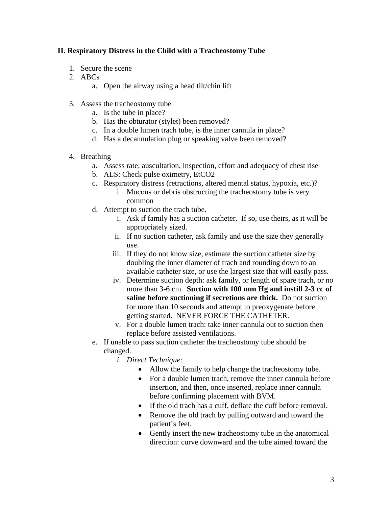### **II. Respiratory Distress in the Child with a Tracheostomy Tube**

- 1. Secure the scene
- 2. ABCs
	- a. Open the airway using a head tilt/chin lift
- 3. Assess the tracheostomy tube
	- a. Is the tube in place?
	- b. Has the obturator (stylet) been removed?
	- c. In a double lumen trach tube, is the inner cannula in place?
	- d. Has a decannulation plug or speaking valve been removed?

#### 4. Breathing

- a. Assess rate, auscultation, inspection, effort and adequacy of chest rise
- b. ALS: Check pulse oximetry, EtCO2
- c. Respiratory distress (retractions, altered mental status, hypoxia, etc.)?
	- i. Mucous or debris obstructing the tracheostomy tube is very common
- d. Attempt to suction the trach tube.
	- i. Ask if family has a suction catheter. If so, use theirs, as it will be appropriately sized.
	- ii. If no suction catheter, ask family and use the size they generally use.
	- iii. If they do not know size, estimate the suction catheter size by doubling the inner diameter of trach and rounding down to an available catheter size, or use the largest size that will easily pass.
	- iv. Determine suction depth: ask family, or length of spare trach, or no more than 3-6 cm. **Suction with 100 mm Hg and instill 2-3 cc of saline before suctioning if secretions are thick.** Do not suction for more than 10 seconds and attempt to preoxygenate before getting started. NEVER FORCE THE CATHETER.
	- v. For a double lumen trach: take inner cannula out to suction then replace before assisted ventilations.
- e. If unable to pass suction catheter the tracheostomy tube should be changed.
	- *i. Direct Technique:* 
		- Allow the family to help change the tracheostomy tube.
		- For a double lumen trach, remove the inner cannula before insertion, and then, once inserted, replace inner cannula before confirming placement with BVM.
		- If the old trach has a cuff, deflate the cuff before removal.
		- Remove the old trach by pulling outward and toward the patient's feet.
		- Gently insert the new tracheostomy tube in the anatomical direction: curve downward and the tube aimed toward the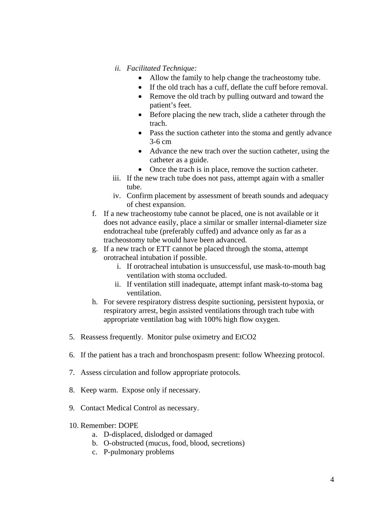- *ii. Facilitated Technique:* 
	- Allow the family to help change the tracheostomy tube.
	- If the old trach has a cuff, deflate the cuff before removal.
	- Remove the old trach by pulling outward and toward the patient's feet.
	- Before placing the new trach, slide a catheter through the trach.
	- Pass the suction catheter into the stoma and gently advance 3-6 cm
	- Advance the new trach over the suction catheter, using the catheter as a guide.
	- Once the trach is in place, remove the suction catheter.
- iii. If the new trach tube does not pass, attempt again with a smaller tube.
- iv. Confirm placement by assessment of breath sounds and adequacy of chest expansion.
- f. If a new tracheostomy tube cannot be placed, one is not available or it does not advance easily, place a similar or smaller internal-diameter size endotracheal tube (preferably cuffed) and advance only as far as a tracheostomy tube would have been advanced.
- g. If a new trach or ETT cannot be placed through the stoma, attempt orotracheal intubation if possible.
	- i. If orotracheal intubation is unsuccessful, use mask-to-mouth bag ventilation with stoma occluded.
	- ii. If ventilation still inadequate, attempt infant mask-to-stoma bag ventilation.
- h. For severe respiratory distress despite suctioning, persistent hypoxia, or respiratory arrest, begin assisted ventilations through trach tube with appropriate ventilation bag with 100% high flow oxygen.
- 5. Reassess frequently. Monitor pulse oximetry and EtCO2
- 6. If the patient has a trach and bronchospasm present: follow Wheezing protocol.
- 7. Assess circulation and follow appropriate protocols.
- 8. Keep warm. Expose only if necessary.
- 9. Contact Medical Control as necessary.
- 10. Remember: DOPE
	- a. D-displaced, dislodged or damaged
	- b. O-obstructed (mucus, food, blood, secretions)
	- c. P-pulmonary problems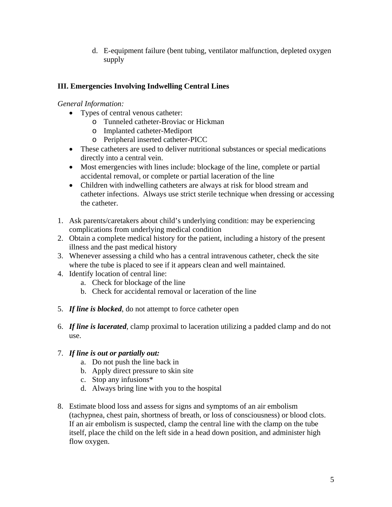d. E-equipment failure (bent tubing, ventilator malfunction, depleted oxygen supply

## **III. Emergencies Involving Indwelling Central Lines**

## *General Information:*

- Types of central venous catheter:
	- o Tunneled catheter-Broviac or Hickman
	- o Implanted catheter-Mediport
	- o Peripheral inserted catheter-PICC
- These catheters are used to deliver nutritional substances or special medications directly into a central vein.
- Most emergencies with lines include: blockage of the line, complete or partial accidental removal, or complete or partial laceration of the line
- Children with indwelling catheters are always at risk for blood stream and catheter infections. Always use strict sterile technique when dressing or accessing the catheter.
- 1. Ask parents/caretakers about child's underlying condition: may be experiencing complications from underlying medical condition
- 2. Obtain a complete medical history for the patient, including a history of the present illness and the past medical history
- 3. Whenever assessing a child who has a central intravenous catheter, check the site where the tube is placed to see if it appears clean and well maintained.
- 4. Identify location of central line:
	- a. Check for blockage of the line
	- b. Check for accidental removal or laceration of the line
- 5. *If line is blocked*, do not attempt to force catheter open
- 6. *If line is lacerated*, clamp proximal to laceration utilizing a padded clamp and do not use.

## 7. *If line is out or partially out:*

- a. Do not push the line back in
- b. Apply direct pressure to skin site
- c. Stop any infusions\*
- d. Always bring line with you to the hospital
- 8. Estimate blood loss and assess for signs and symptoms of an air embolism (tachypnea, chest pain, shortness of breath, or loss of consciousness) or blood clots. If an air embolism is suspected, clamp the central line with the clamp on the tube itself, place the child on the left side in a head down position, and administer high flow oxygen.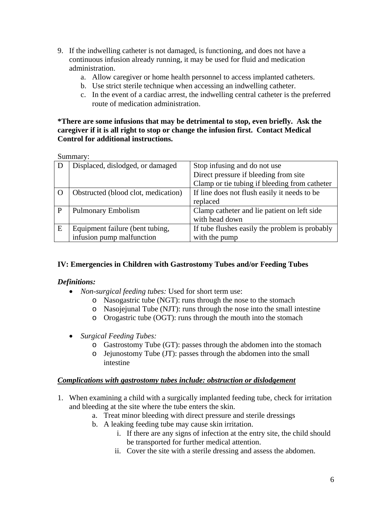- 9. If the indwelling catheter is not damaged, is functioning, and does not have a continuous infusion already running, it may be used for fluid and medication administration.
	- a. Allow caregiver or home health personnel to access implanted catheters.
	- b. Use strict sterile technique when accessing an indwelling catheter.
	- c. In the event of a cardiac arrest, the indwelling central catheter is the preferred route of medication administration.

#### **\*There are some infusions that may be detrimental to stop, even briefly. Ask the caregiver if it is all right to stop or change the infusion first. Contact Medical Control for additional instructions.**

Summary:

|   | Displaced, dislodged, or damaged    | Stop infusing and do not use                   |
|---|-------------------------------------|------------------------------------------------|
|   |                                     | Direct pressure if bleeding from site          |
|   |                                     | Clamp or tie tubing if bleeding from catheter  |
|   | Obstructed (blood clot, medication) | If line does not flush easily it needs to be   |
|   |                                     | replaced                                       |
| P | <b>Pulmonary Embolism</b>           | Clamp catheter and lie patient on left side    |
|   |                                     | with head down                                 |
| E | Equipment failure (bent tubing,     | If tube flushes easily the problem is probably |
|   | infusion pump malfunction           | with the pump                                  |

#### **IV: Emergencies in Children with Gastrostomy Tubes and/or Feeding Tubes**

#### *Definitions:*

- *Non-surgical feeding tubes:* Used for short term use:
	- o Nasogastric tube (NGT): runs through the nose to the stomach
	- o Nasojejunal Tube (NJT): runs through the nose into the small intestine
	- o Orogastric tube (OGT): runs through the mouth into the stomach
- *Surgical Feeding Tubes:* 
	- o Gastrostomy Tube (GT): passes through the abdomen into the stomach
	- o Jejunostomy Tube (JT): passes through the abdomen into the small intestine

#### *Complications with gastrostomy tubes include: obstruction or dislodgement*

- 1. When examining a child with a surgically implanted feeding tube, check for irritation and bleeding at the site where the tube enters the skin.
	- a. Treat minor bleeding with direct pressure and sterile dressings
	- b. A leaking feeding tube may cause skin irritation.
		- i. If there are any signs of infection at the entry site, the child should be transported for further medical attention.
		- ii. Cover the site with a sterile dressing and assess the abdomen.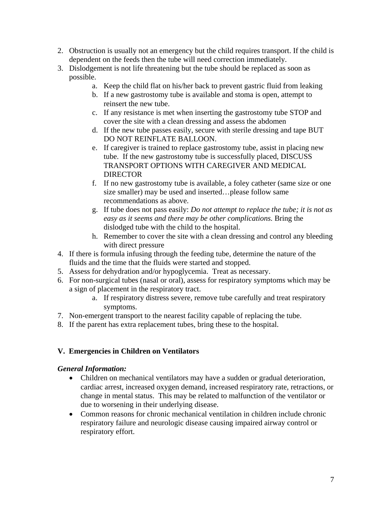- 2. Obstruction is usually not an emergency but the child requires transport. If the child is dependent on the feeds then the tube will need correction immediately.
- 3. Dislodgement is not life threatening but the tube should be replaced as soon as possible.
	- a. Keep the child flat on his/her back to prevent gastric fluid from leaking
	- b. If a new gastrostomy tube is available and stoma is open, attempt to reinsert the new tube.
	- c. If any resistance is met when inserting the gastrostomy tube STOP and cover the site with a clean dressing and assess the abdomen
	- d. If the new tube passes easily, secure with sterile dressing and tape BUT DO NOT REINFLATE BALLOON.
	- e. If caregiver is trained to replace gastrostomy tube, assist in placing new tube. If the new gastrostomy tube is successfully placed, DISCUSS TRANSPORT OPTIONS WITH CAREGIVER AND MEDICAL **DIRECTOR**
	- f. If no new gastrostomy tube is available, a foley catheter (same size or one size smaller) may be used and inserted…please follow same recommendations as above.
	- g. If tube does not pass easily: *Do not attempt to replace the tube; it is not as easy as it seems and there may be other complications.* Bring the dislodged tube with the child to the hospital.
	- h. Remember to cover the site with a clean dressing and control any bleeding with direct pressure
- 4. If there is formula infusing through the feeding tube, determine the nature of the fluids and the time that the fluids were started and stopped.
- 5. Assess for dehydration and/or hypoglycemia. Treat as necessary.
- 6. For non-surgical tubes (nasal or oral), assess for respiratory symptoms which may be a sign of placement in the respiratory tract.
	- a. If respiratory distress severe, remove tube carefully and treat respiratory symptoms.
- 7. Non-emergent transport to the nearest facility capable of replacing the tube.
- 8. If the parent has extra replacement tubes, bring these to the hospital.

## **V. Emergencies in Children on Ventilators**

#### *General Information:*

- Children on mechanical ventilators may have a sudden or gradual deterioration, cardiac arrest, increased oxygen demand, increased respiratory rate, retractions, or change in mental status. This may be related to malfunction of the ventilator or due to worsening in their underlying disease.
- Common reasons for chronic mechanical ventilation in children include chronic respiratory failure and neurologic disease causing impaired airway control or respiratory effort.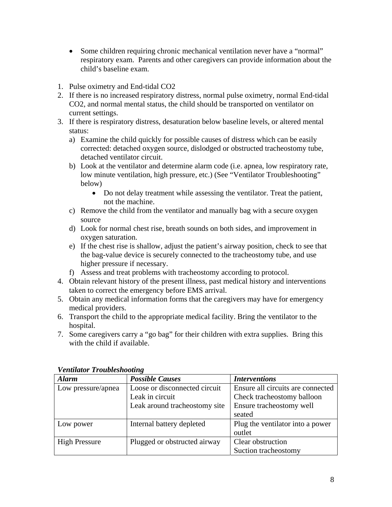- Some children requiring chronic mechanical ventilation never have a "normal" respiratory exam. Parents and other caregivers can provide information about the child's baseline exam.
- 1. Pulse oximetry and End-tidal CO2
- 2. If there is no increased respiratory distress, normal pulse oximetry, normal End-tidal CO2, and normal mental status, the child should be transported on ventilator on current settings.
- 3. If there is respiratory distress, desaturation below baseline levels, or altered mental status:
	- a) Examine the child quickly for possible causes of distress which can be easily corrected: detached oxygen source, dislodged or obstructed tracheostomy tube, detached ventilator circuit.
	- b) Look at the ventilator and determine alarm code (i.e. apnea, low respiratory rate, low minute ventilation, high pressure, etc.) (See "Ventilator Troubleshooting" below)
		- Do not delay treatment while assessing the ventilator. Treat the patient, not the machine.
	- c) Remove the child from the ventilator and manually bag with a secure oxygen source
	- d) Look for normal chest rise, breath sounds on both sides, and improvement in oxygen saturation.
	- e) If the chest rise is shallow, adjust the patient's airway position, check to see that the bag-value device is securely connected to the tracheostomy tube, and use higher pressure if necessary.
	- f) Assess and treat problems with tracheostomy according to protocol.
- 4. Obtain relevant history of the present illness, past medical history and interventions taken to correct the emergency before EMS arrival.
- 5. Obtain any medical information forms that the caregivers may have for emergency medical providers.
- 6. Transport the child to the appropriate medical facility. Bring the ventilator to the hospital.
- 7. Some caregivers carry a "go bag" for their children with extra supplies. Bring this with the child if available.

| r ennann I roubleshooding |                               |                                   |  |  |  |
|---------------------------|-------------------------------|-----------------------------------|--|--|--|
| <b>Alarm</b>              | <b>Possible Causes</b>        | <b>Interventions</b>              |  |  |  |
| Low pressure/apnea        | Loose or disconnected circuit | Ensure all circuits are connected |  |  |  |
|                           | Leak in circuit               | Check tracheostomy balloon        |  |  |  |
|                           | Leak around tracheostomy site | Ensure tracheostomy well          |  |  |  |
|                           |                               | seated                            |  |  |  |
| Low power                 | Internal battery depleted     | Plug the ventilator into a power  |  |  |  |
|                           |                               | outlet                            |  |  |  |
| <b>High Pressure</b>      | Plugged or obstructed airway  | Clear obstruction                 |  |  |  |
|                           |                               | Suction tracheostomy              |  |  |  |

#### *Ventilator Troubleshooting*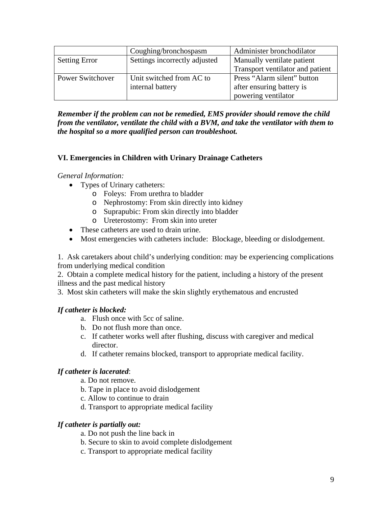|                         | Coughing/bronchospasm         | Administer bronchodilator        |
|-------------------------|-------------------------------|----------------------------------|
| <b>Setting Error</b>    | Settings incorrectly adjusted | Manually ventilate patient       |
|                         |                               | Transport ventilator and patient |
| <b>Power Switchover</b> | Unit switched from AC to      | Press "Alarm silent" button      |
|                         | internal battery              | after ensuring battery is        |
|                         |                               | powering ventilator              |

*Remember if the problem can not be remedied, EMS provider should remove the child from the ventilator, ventilate the child with a BVM, and take the ventilator with them to the hospital so a more qualified person can troubleshoot.* 

#### **VI. Emergencies in Children with Urinary Drainage Catheters**

#### *General Information:*

- Types of Urinary catheters:
	- o Foleys: From urethra to bladder
	- o Nephrostomy: From skin directly into kidney
	- o Suprapubic: From skin directly into bladder
	- o Ureterostomy: From skin into ureter
- These catheters are used to drain urine.
- Most emergencies with catheters include: Blockage, bleeding or dislodgement.

1. Ask caretakers about child's underlying condition: may be experiencing complications from underlying medical condition

2. Obtain a complete medical history for the patient, including a history of the present illness and the past medical history

3. Most skin catheters will make the skin slightly erythematous and encrusted

#### *If catheter is blocked:*

- a. Flush once with 5cc of saline.
- b. Do not flush more than once.
- c. If catheter works well after flushing, discuss with caregiver and medical director.
- d. If catheter remains blocked, transport to appropriate medical facility.

#### *If catheter is lacerated*:

- a. Do not remove.
- b. Tape in place to avoid dislodgement
- c. Allow to continue to drain
- d. Transport to appropriate medical facility

#### *If catheter is partially out:*

- a. Do not push the line back in
- b. Secure to skin to avoid complete dislodgement
- c. Transport to appropriate medical facility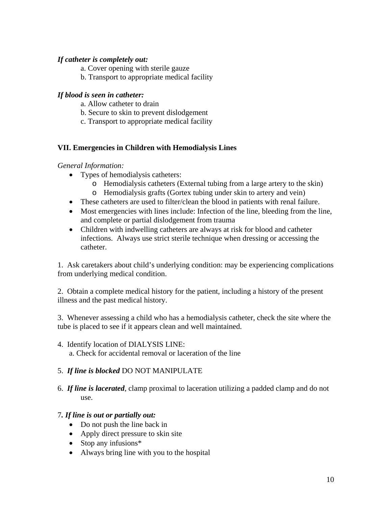### *If catheter is completely out:*

- a. Cover opening with sterile gauze
- b. Transport to appropriate medical facility

### *If blood is seen in catheter:*

- a. Allow catheter to drain
- b. Secure to skin to prevent dislodgement
- c. Transport to appropriate medical facility

## **VII. Emergencies in Children with Hemodialysis Lines**

#### *General Information:*

- Types of hemodialysis catheters:
	- o Hemodialysis catheters (External tubing from a large artery to the skin)
	- o Hemodialysis grafts (Gortex tubing under skin to artery and vein)
- These catheters are used to filter/clean the blood in patients with renal failure.
- Most emergencies with lines include: Infection of the line, bleeding from the line, and complete or partial dislodgement from trauma
- Children with indwelling catheters are always at risk for blood and catheter infections. Always use strict sterile technique when dressing or accessing the catheter.

1. Ask caretakers about child's underlying condition: may be experiencing complications from underlying medical condition.

2. Obtain a complete medical history for the patient, including a history of the present illness and the past medical history.

3. Whenever assessing a child who has a hemodialysis catheter, check the site where the tube is placed to see if it appears clean and well maintained.

4. Identify location of DIALYSIS LINE: a. Check for accidental removal or laceration of the line

#### 5. *If line is blocked* DO NOT MANIPULATE

6. *If line is lacerated*, clamp proximal to laceration utilizing a padded clamp and do not use.

#### 7*. If line is out or partially out:*

- Do not push the line back in
- Apply direct pressure to skin site
- Stop any infusions\*
- Always bring line with you to the hospital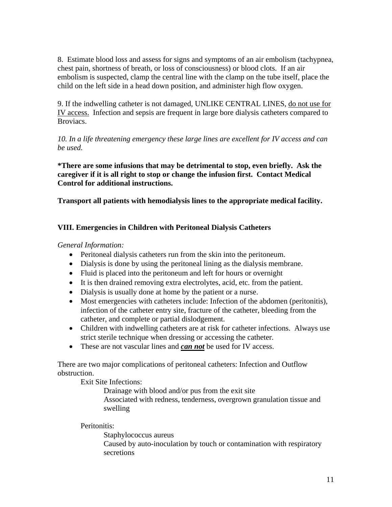8. Estimate blood loss and assess for signs and symptoms of an air embolism (tachypnea, chest pain, shortness of breath, or loss of consciousness) or blood clots. If an air embolism is suspected, clamp the central line with the clamp on the tube itself, place the child on the left side in a head down position, and administer high flow oxygen.

9. If the indwelling catheter is not damaged, UNLIKE CENTRAL LINES, do not use for IV access. Infection and sepsis are frequent in large bore dialysis catheters compared to Broviacs.

*10. In a life threatening emergency these large lines are excellent for IV access and can be used.* 

**\*There are some infusions that may be detrimental to stop, even briefly. Ask the caregiver if it is all right to stop or change the infusion first. Contact Medical Control for additional instructions.** 

**Transport all patients with hemodialysis lines to the appropriate medical facility.** 

## **VIII. Emergencies in Children with Peritoneal Dialysis Catheters**

*General Information:*

- Peritoneal dialysis catheters run from the skin into the peritoneum.
- Dialysis is done by using the peritoneal lining as the dialysis membrane.
- Fluid is placed into the peritoneum and left for hours or overnight
- It is then drained removing extra electrolytes, acid, etc. from the patient.
- Dialysis is usually done at home by the patient or a nurse.
- Most emergencies with catheters include: Infection of the abdomen (peritonitis), infection of the catheter entry site, fracture of the catheter, bleeding from the catheter, and complete or partial dislodgement.
- Children with indwelling catheters are at risk for catheter infections. Always use strict sterile technique when dressing or accessing the catheter.
- These are not vascular lines and *can not* be used for IV access.

There are two major complications of peritoneal catheters: Infection and Outflow obstruction.

Exit Site Infections:

Drainage with blood and/or pus from the exit site Associated with redness, tenderness, overgrown granulation tissue and swelling

Peritonitis:

Staphylococcus aureus Caused by auto-inoculation by touch or contamination with respiratory secretions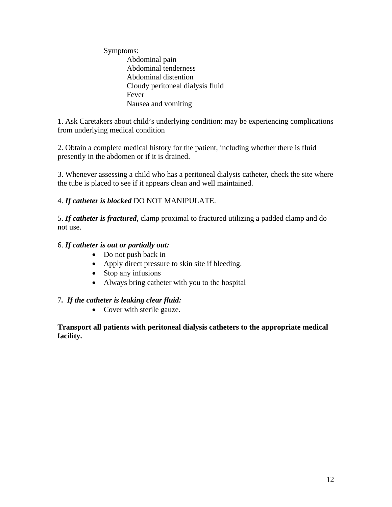Symptoms: Abdominal pain Abdominal tenderness Abdominal distention Cloudy peritoneal dialysis fluid Fever Nausea and vomiting

1. Ask Caretakers about child's underlying condition: may be experiencing complications from underlying medical condition

2. Obtain a complete medical history for the patient, including whether there is fluid presently in the abdomen or if it is drained.

3. Whenever assessing a child who has a peritoneal dialysis catheter, check the site where the tube is placed to see if it appears clean and well maintained.

## 4. *If catheter is blocked* DO NOT MANIPULATE.

5. *If catheter is fractured*, clamp proximal to fractured utilizing a padded clamp and do not use.

## 6. *If catheter is out or partially out:*

- Do not push back in
- Apply direct pressure to skin site if bleeding.
- Stop any infusions
- Always bring catheter with you to the hospital

#### 7*. If the catheter is leaking clear fluid:*

• Cover with sterile gauze.

**Transport all patients with peritoneal dialysis catheters to the appropriate medical facility.**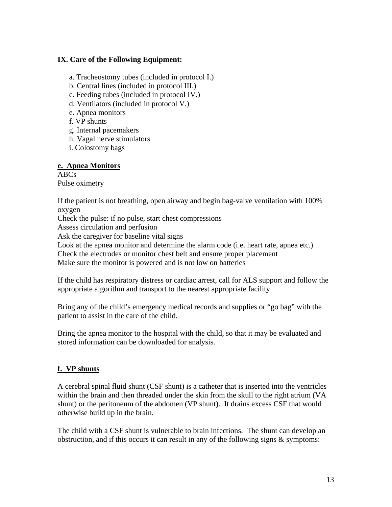#### **IX. Care of the Following Equipment:**

a. Tracheostomy tubes (included in protocol I.)

- b. Central lines (included in protocol III.)
- c. Feeding tubes (included in protocol IV.)
- d. Ventilators (included in protocol V.)
- e. Apnea monitors
- f. VP shunts
- g. Internal pacemakers
- h. Vagal nerve stimulators
- i. Colostomy bags

#### **e. Apnea Monitors**

ABCs Pulse oximetry

If the patient is not breathing, open airway and begin bag-valve ventilation with 100% oxygen

Check the pulse: if no pulse, start chest compressions

Assess circulation and perfusion

Ask the caregiver for baseline vital signs

Look at the apnea monitor and determine the alarm code (i.e. heart rate, apnea etc.)

Check the electrodes or monitor chest belt and ensure proper placement

Make sure the monitor is powered and is not low on batteries

If the child has respiratory distress or cardiac arrest, call for ALS support and follow the appropriate algorithm and transport to the nearest appropriate facility.

Bring any of the child's emergency medical records and supplies or "go bag" with the patient to assist in the care of the child.

Bring the apnea monitor to the hospital with the child, so that it may be evaluated and stored information can be downloaded for analysis.

#### **f. VP shunts**

A cerebral spinal fluid shunt (CSF shunt) is a catheter that is inserted into the ventricles within the brain and then threaded under the skin from the skull to the right atrium (VA shunt) or the peritoneum of the abdomen (VP shunt). It drains excess CSF that would otherwise build up in the brain.

The child with a CSF shunt is vulnerable to brain infections. The shunt can develop an obstruction, and if this occurs it can result in any of the following signs & symptoms: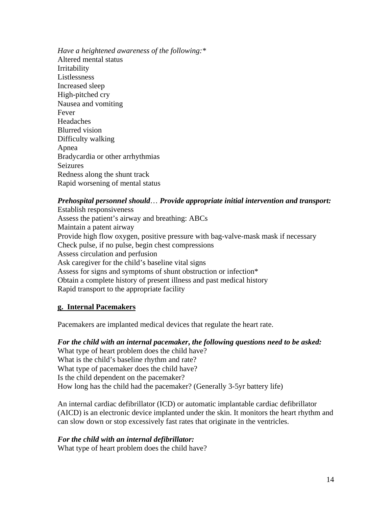*Have a heightened awareness of the following:\**  Altered mental status Irritability Listlessness Increased sleep High-pitched cry Nausea and vomiting Fever Headaches Blurred vision Difficulty walking Apnea Bradycardia or other arrhythmias Seizures Redness along the shunt track Rapid worsening of mental status

#### *Prehospital personnel should*… *Provide appropriate initial intervention and transport:*

Establish responsiveness Assess the patient's airway and breathing: ABCs Maintain a patent airway Provide high flow oxygen, positive pressure with bag-valve-mask mask if necessary Check pulse, if no pulse, begin chest compressions Assess circulation and perfusion Ask caregiver for the child's baseline vital signs Assess for signs and symptoms of shunt obstruction or infection\* Obtain a complete history of present illness and past medical history Rapid transport to the appropriate facility

#### **g. Internal Pacemakers**

Pacemakers are implanted medical devices that regulate the heart rate.

#### *For the child with an internal pacemaker***,** *the following questions need to be asked:*

What type of heart problem does the child have? What is the child's baseline rhythm and rate? What type of pacemaker does the child have? Is the child dependent on the pacemaker? How long has the child had the pacemaker? (Generally 3-5yr battery life)

An internal cardiac defibrillator (ICD) or automatic implantable cardiac defibrillator (AICD) is an electronic device implanted under the skin. It monitors the heart rhythm and can slow down or stop excessively fast rates that originate in the ventricles.

#### *For the child with an internal defibrillator:*

What type of heart problem does the child have?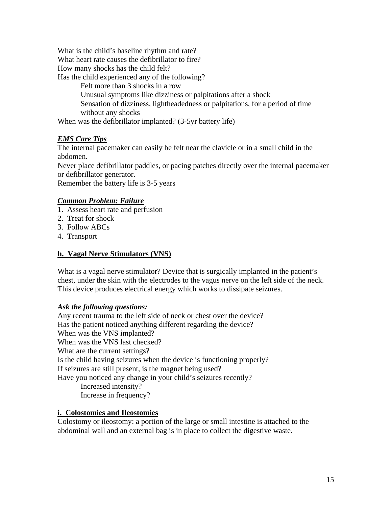What is the child's baseline rhythm and rate?

What heart rate causes the defibrillator to fire?

How many shocks has the child felt?

Has the child experienced any of the following?

Felt more than 3 shocks in a row

Unusual symptoms like dizziness or palpitations after a shock

Sensation of dizziness, lightheadedness or palpitations, for a period of time without any shocks

When was the defibrillator implanted? (3-5yr battery life)

## *EMS Care Tips*

The internal pacemaker can easily be felt near the clavicle or in a small child in the abdomen.

Never place defibrillator paddles, or pacing patches directly over the internal pacemaker or defibrillator generator.

Remember the battery life is 3-5 years

#### *Common Problem: Failure*

- 1. Assess heart rate and perfusion
- 2. Treat for shock
- 3. Follow ABCs
- 4. Transport

## **h. Vagal Nerve Stimulators (VNS)**

What is a vagal nerve stimulator? Device that is surgically implanted in the patient's chest, under the skin with the electrodes to the vagus nerve on the left side of the neck. This device produces electrical energy which works to dissipate seizures.

#### *Ask the following questions:*

Any recent trauma to the left side of neck or chest over the device? Has the patient noticed anything different regarding the device? When was the VNS implanted? When was the VNS last checked? What are the current settings? Is the child having seizures when the device is functioning properly? If seizures are still present, is the magnet being used? Have you noticed any change in your child's seizures recently? Increased intensity? Increase in frequency?

#### **i. Colostomies and Ileostomies**

Colostomy or ileostomy: a portion of the large or small intestine is attached to the abdominal wall and an external bag is in place to collect the digestive waste.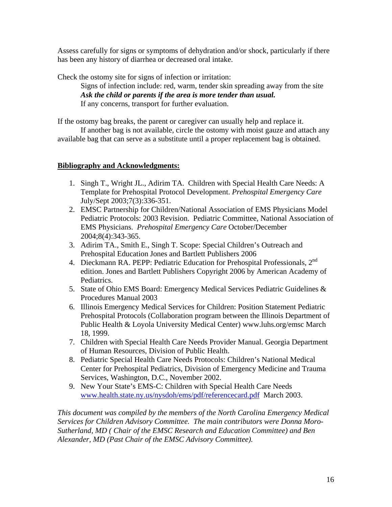Assess carefully for signs or symptoms of dehydration and/or shock, particularly if there has been any history of diarrhea or decreased oral intake.

Check the ostomy site for signs of infection or irritation:

 Signs of infection include: red, warm, tender skin spreading away from the site *Ask the child or parents if the area is more tender than usual.*  If any concerns, transport for further evaluation.

If the ostomy bag breaks, the parent or caregiver can usually help and replace it.

 If another bag is not available, circle the ostomy with moist gauze and attach any available bag that can serve as a substitute until a proper replacement bag is obtained.

#### **Bibliography and Acknowledgments:**

- 1. Singh T., Wright JL., Adirim TA. Children with Special Health Care Needs: A Template for Prehospital Protocol Development. *Prehospital Emergency Care* July/Sept 2003;7(3):336-351.
- 2. EMSC Partnership for Children/National Association of EMS Physicians Model Pediatric Protocols: 2003 Revision. Pediatric Committee, National Association of EMS Physicians. *Prehospital Emergency Care* October/December 2004;8(4):343-365.
- 3. Adirim TA., Smith E., Singh T. Scope: Special Children's Outreach and Prehospital Education Jones and Bartlett Publishers 2006
- 4. Dieckmann RA. PEPP: Pediatric Education for Prehospital Professionals, 2<sup>nd</sup> edition. Jones and Bartlett Publishers Copyright 2006 by American Academy of Pediatrics.
- 5. State of Ohio EMS Board: Emergency Medical Services Pediatric Guidelines & Procedures Manual 2003
- 6. Illinois Emergency Medical Services for Children: Position Statement Pediatric Prehospital Protocols (Collaboration program between the Illinois Department of Public Health & Loyola University Medical Center) www.luhs.org/emsc March 18, 1999.
- 7. Children with Special Health Care Needs Provider Manual. Georgia Department of Human Resources, Division of Public Health.
- 8. Pediatric Special Health Care Needs Protocols: Children's National Medical Center for Prehospital Pediatrics, Division of Emergency Medicine and Trauma Services, Washington, D.C., November 2002.
- 9. New Your State's EMS-C: Children with Special Health Care Needs [www.health.state.ny.us/nysdoh/ems/pdf/referencecard.pdf](http://www.health.state.ny.us/nysdoh/ems/pdf/referencecard.pdf) March 2003.

*This document was compiled by the members of the North Carolina Emergency Medical Services for Children Advisory Committee. The main contributors were Donna Moro-Sutherland, MD ( Chair of the EMSC Research and Education Committee) and Ben Alexander, MD (Past Chair of the EMSC Advisory Committee).*